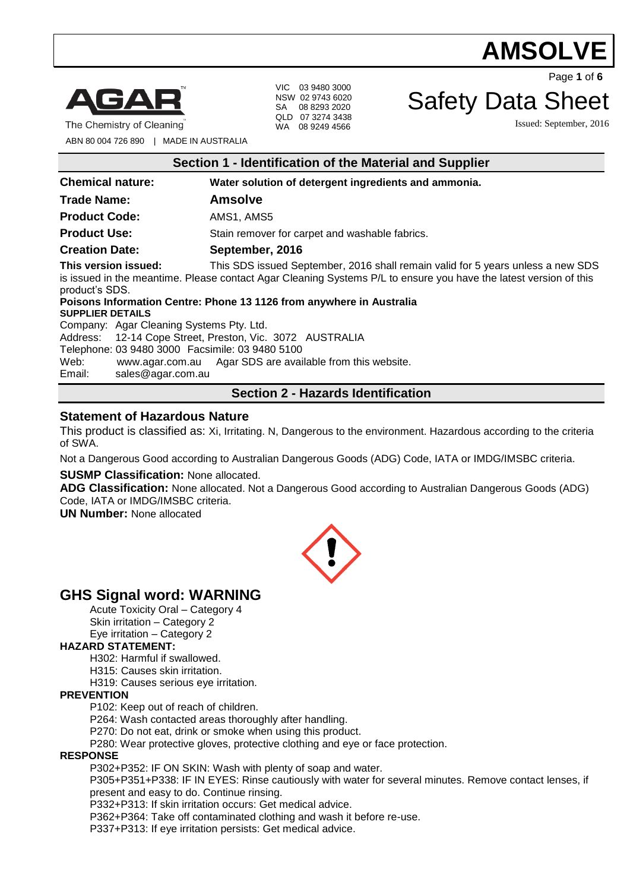# **AMSOLV**



The Chemistry of Cleaning

VIC 03 9480 3000 NSW 02 9743 6020 SA 08 8293 2020 QLD 07 3274 3438 WA 08 9249 4566

Page **1** of **6**

# Safety Data Sheet

Issued: September, 2016

ABN 80 004 726 890 | MADE IN AUSTRALIA

| Section 1 - Identification of the Material and Supplier                                                                                                                                                                                        |                                                      |  |  |
|------------------------------------------------------------------------------------------------------------------------------------------------------------------------------------------------------------------------------------------------|------------------------------------------------------|--|--|
| <b>Chemical nature:</b>                                                                                                                                                                                                                        | Water solution of detergent ingredients and ammonia. |  |  |
| <b>Trade Name:</b>                                                                                                                                                                                                                             | <b>Amsolve</b>                                       |  |  |
| <b>Product Code:</b><br>AMS1, AMS5                                                                                                                                                                                                             |                                                      |  |  |
| <b>Product Use:</b>                                                                                                                                                                                                                            | Stain remover for carpet and washable fabrics.       |  |  |
| <b>Creation Date:</b><br>September, 2016                                                                                                                                                                                                       |                                                      |  |  |
| This version issued:<br>This SDS issued September, 2016 shall remain valid for 5 years unless a new SDS<br>is issued in the meantime. Please contact Agar Cleaning Systems P/L to ensure you have the latest version of this<br>product's SDS. |                                                      |  |  |
| Poisons Information Centre: Phone 13 1126 from anywhere in Australia<br><b>SUPPLIER DETAILS</b>                                                                                                                                                |                                                      |  |  |
| Company: Agar Cleaning Systems Pty. Ltd.                                                                                                                                                                                                       |                                                      |  |  |
| Address: 12-14 Cope Street, Preston, Vic. 3072 AUSTRALIA                                                                                                                                                                                       |                                                      |  |  |
| Telephone: 03 9480 3000 Facsimile: 03 9480 5100                                                                                                                                                                                                |                                                      |  |  |
| www.agar.com.au Agar SDS are available from this website.<br>Web:                                                                                                                                                                              |                                                      |  |  |
| Email:<br>sales@agar.com.au                                                                                                                                                                                                                    |                                                      |  |  |
| <b>Section 2 - Hazards Identification</b>                                                                                                                                                                                                      |                                                      |  |  |

#### **Statement of Hazardous Nature**

This product is classified as: Xi, Irritating. N, Dangerous to the environment. Hazardous according to the criteria of SWA.

Not a Dangerous Good according to Australian Dangerous Goods (ADG) Code, IATA or IMDG/IMSBC criteria.

**SUSMP Classification:** None allocated.

**ADG Classification:** None allocated. Not a Dangerous Good according to Australian Dangerous Goods (ADG) Code, IATA or IMDG/IMSBC criteria.

**UN Number:** None allocated



# **GHS Signal word: WARNING**

Acute Toxicity Oral – Category 4 Skin irritation – Category 2 Eye irritation – Category 2

#### **HAZARD STATEMENT:**

H302: Harmful if swallowed.

H315: Causes skin irritation.

H319: Causes serious eye irritation.

#### **PREVENTION**

P102: Keep out of reach of children.

P264: Wash contacted areas thoroughly after handling.

P270: Do not eat, drink or smoke when using this product.

P280: Wear protective gloves, protective clothing and eye or face protection.

#### **RESPONSE**

P302+P352: IF ON SKIN: Wash with plenty of soap and water.

P305+P351+P338: IF IN EYES: Rinse cautiously with water for several minutes. Remove contact lenses, if present and easy to do. Continue rinsing.

P332+P313: If skin irritation occurs: Get medical advice.

P362+P364: Take off contaminated clothing and wash it before re-use.

P337+P313: If eye irritation persists: Get medical advice.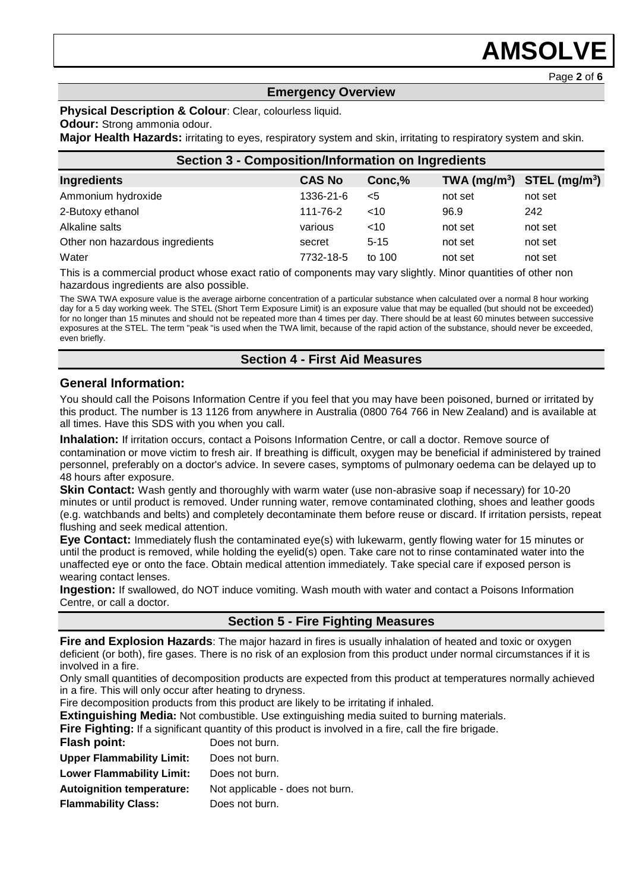# **AMSOLV**

Page **2** of **6**

#### **Emergency Overview**

#### **Physical Description & Colour**: Clear, colourless liquid.

#### **Odour:** Strong ammonia odour.

**Major Health Hazards:** irritating to eyes, respiratory system and skin, irritating to respiratory system and skin.

| <b>Section 3 - Composition/Information on Ingredients</b> |               |          |         |                                |
|-----------------------------------------------------------|---------------|----------|---------|--------------------------------|
| <b>Ingredients</b>                                        | <b>CAS No</b> | Conc, %  |         | TWA $(mg/m^3)$ STEL $(mg/m^3)$ |
| Ammonium hydroxide                                        | 1336-21-6     | $<$ 5    | not set | not set                        |
| 2-Butoxy ethanol                                          | 111-76-2      | ~10      | 96.9    | 242                            |
| Alkaline salts                                            | various       | ~10      | not set | not set                        |
| Other non hazardous ingredients                           | secret        | $5 - 15$ | not set | not set                        |
| Water                                                     | 7732-18-5     | to 100   | not set | not set                        |

This is a commercial product whose exact ratio of components may vary slightly. Minor quantities of other non hazardous ingredients are also possible.

The SWA TWA exposure value is the average airborne concentration of a particular substance when calculated over a normal 8 hour working day for a 5 day working week. The STEL (Short Term Exposure Limit) is an exposure value that may be equalled (but should not be exceeded) for no longer than 15 minutes and should not be repeated more than 4 times per day. There should be at least 60 minutes between successive exposures at the STEL. The term "peak "is used when the TWA limit, because of the rapid action of the substance, should never be exceeded, even briefly.

#### **Section 4 - First Aid Measures**

#### **General Information:**

You should call the Poisons Information Centre if you feel that you may have been poisoned, burned or irritated by this product. The number is 13 1126 from anywhere in Australia (0800 764 766 in New Zealand) and is available at all times. Have this SDS with you when you call.

**Inhalation:** If irritation occurs, contact a Poisons Information Centre, or call a doctor. Remove source of contamination or move victim to fresh air. If breathing is difficult, oxygen may be beneficial if administered by trained personnel, preferably on a doctor's advice. In severe cases, symptoms of pulmonary oedema can be delayed up to 48 hours after exposure.

**Skin Contact:** Wash gently and thoroughly with warm water (use non-abrasive soap if necessary) for 10-20 minutes or until product is removed. Under running water, remove contaminated clothing, shoes and leather goods (e.g. watchbands and belts) and completely decontaminate them before reuse or discard. If irritation persists, repeat flushing and seek medical attention.

**Eye Contact:** Immediately flush the contaminated eye(s) with lukewarm, gently flowing water for 15 minutes or until the product is removed, while holding the eyelid(s) open. Take care not to rinse contaminated water into the unaffected eye or onto the face. Obtain medical attention immediately. Take special care if exposed person is wearing contact lenses.

**Ingestion:** If swallowed, do NOT induce vomiting. Wash mouth with water and contact a Poisons Information Centre, or call a doctor.

#### **Section 5 - Fire Fighting Measures**

**Fire and Explosion Hazards**: The major hazard in fires is usually inhalation of heated and toxic or oxygen deficient (or both), fire gases. There is no risk of an explosion from this product under normal circumstances if it is involved in a fire.

Only small quantities of decomposition products are expected from this product at temperatures normally achieved in a fire. This will only occur after heating to dryness.

Fire decomposition products from this product are likely to be irritating if inhaled.

**Extinguishing Media:** Not combustible. Use extinguishing media suited to burning materials.

**Fire Fighting:** If a significant quantity of this product is involved in a fire, call the fire brigade.

**Flash point:** Does not burn.

| <b>Upper Flammability Limit:</b> |  |  | Does not burn. |  |  |
|----------------------------------|--|--|----------------|--|--|
|                                  |  |  |                |  |  |

**Lower Flammability Limit:** Does not burn.

- **Autoignition temperature:** Not applicable does not burn.
- **Flammability Class:** Does not burn.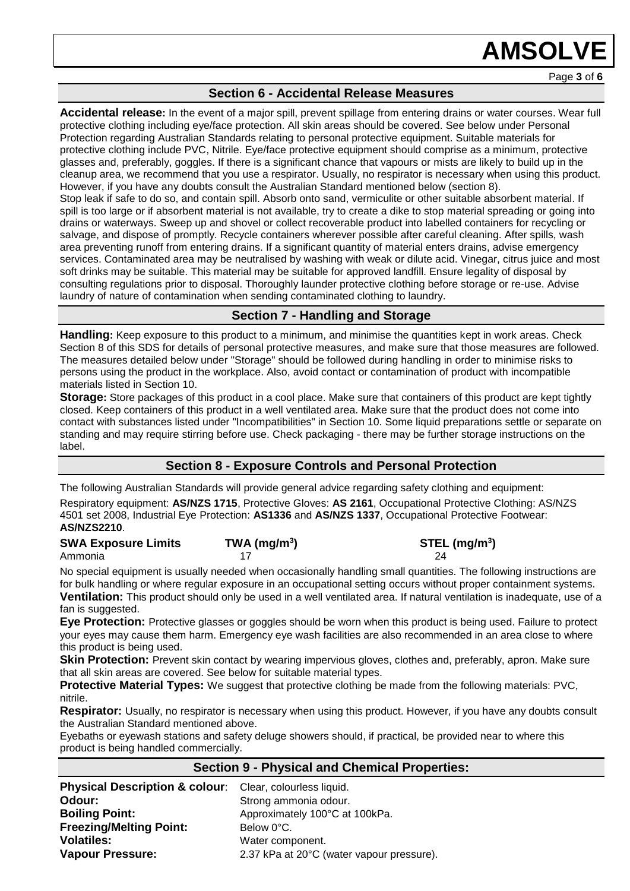# **AMSOLVE**

### **Section 6 - Accidental Release Measures**

**Accidental release:** In the event of a major spill, prevent spillage from entering drains or water courses. Wear full protective clothing including eye/face protection. All skin areas should be covered. See below under Personal Protection regarding Australian Standards relating to personal protective equipment. Suitable materials for protective clothing include PVC, Nitrile. Eye/face protective equipment should comprise as a minimum, protective glasses and, preferably, goggles. If there is a significant chance that vapours or mists are likely to build up in the cleanup area, we recommend that you use a respirator. Usually, no respirator is necessary when using this product. However, if you have any doubts consult the Australian Standard mentioned below (section 8). Stop leak if safe to do so, and contain spill. Absorb onto sand, vermiculite or other suitable absorbent material. If spill is too large or if absorbent material is not available, try to create a dike to stop material spreading or going into drains or waterways. Sweep up and shovel or collect recoverable product into labelled containers for recycling or salvage, and dispose of promptly. Recycle containers wherever possible after careful cleaning. After spills, wash area preventing runoff from entering drains. If a significant quantity of material enters drains, advise emergency services. Contaminated area may be neutralised by washing with weak or dilute acid. Vinegar, citrus juice and most soft drinks may be suitable. This material may be suitable for approved landfill. Ensure legality of disposal by consulting regulations prior to disposal. Thoroughly launder protective clothing before storage or re-use. Advise laundry of nature of contamination when sending contaminated clothing to laundry.

# **Section 7 - Handling and Storage**

**Handling:** Keep exposure to this product to a minimum, and minimise the quantities kept in work areas. Check Section 8 of this SDS for details of personal protective measures, and make sure that those measures are followed. The measures detailed below under "Storage" should be followed during handling in order to minimise risks to persons using the product in the workplace. Also, avoid contact or contamination of product with incompatible materials listed in Section 10.

**Storage:** Store packages of this product in a cool place. Make sure that containers of this product are kept tightly closed. Keep containers of this product in a well ventilated area. Make sure that the product does not come into contact with substances listed under "Incompatibilities" in Section 10. Some liquid preparations settle or separate on standing and may require stirring before use. Check packaging - there may be further storage instructions on the label.

# **Section 8 - Exposure Controls and Personal Protection**

The following Australian Standards will provide general advice regarding safety clothing and equipment: Respiratory equipment: **AS/NZS 1715**, Protective Gloves: **AS 2161**, Occupational Protective Clothing: AS/NZS 4501 set 2008, Industrial Eye Protection: **AS1336** and **AS/NZS 1337**, Occupational Protective Footwear: **AS/NZS2210**.

#### **SWA Exposure Limits TWA (mg/m<sup>3</sup> ) STEL (mg/m<sup>3</sup> )** Ammonia 17 24

No special equipment is usually needed when occasionally handling small quantities. The following instructions are for bulk handling or where regular exposure in an occupational setting occurs without proper containment systems. **Ventilation:** This product should only be used in a well ventilated area. If natural ventilation is inadequate, use of a

fan is suggested.

**Eye Protection:** Protective glasses or goggles should be worn when this product is being used. Failure to protect your eyes may cause them harm. Emergency eye wash facilities are also recommended in an area close to where this product is being used.

**Skin Protection:** Prevent skin contact by wearing impervious gloves, clothes and, preferably, apron. Make sure that all skin areas are covered. See below for suitable material types.

**Protective Material Types:** We suggest that protective clothing be made from the following materials: PVC, nitrile.

**Respirator:** Usually, no respirator is necessary when using this product. However, if you have any doubts consult the Australian Standard mentioned above.

Eyebaths or eyewash stations and safety deluge showers should, if practical, be provided near to where this product is being handled commercially.

#### **Section 9 - Physical and Chemical Properties:**

| <b>Physical Description &amp; colour:</b> Clear, colourless liquid. |                                           |
|---------------------------------------------------------------------|-------------------------------------------|
| Odour:                                                              | Strong ammonia odour.                     |
| <b>Boiling Point:</b>                                               | Approximately 100°C at 100kPa.            |
| <b>Freezing/Melting Point:</b>                                      | Below 0°C.                                |
| <b>Volatiles:</b>                                                   | Water component.                          |
| <b>Vapour Pressure:</b>                                             | 2.37 kPa at 20°C (water vapour pressure). |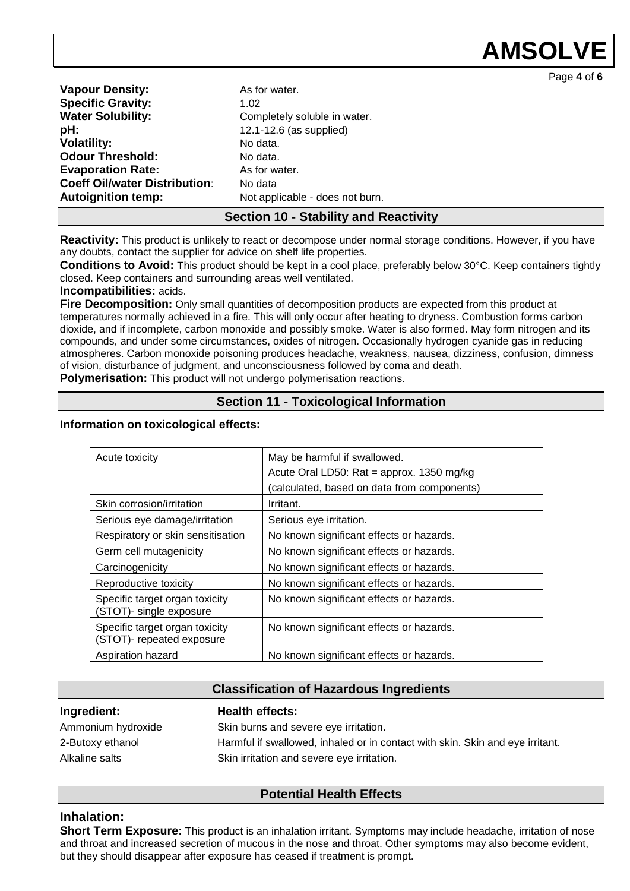**AMSOL** 

Page **4** of **6**

**Vapour Density:** As for water. **Specific Gravity:** 1.02 **Water Solubility:** Completely soluble in water. **pH:**  $12.1-12.6$  (as supplied) **Volatility:** No data. **Odour Threshold:** No data. **Evaporation Rate:** As for water. **Coeff Oil/water Distribution:** No data **Autoignition temp:** Not applicable - does not burn.

#### **Section 10 - Stability and Reactivity**

**Reactivity:** This product is unlikely to react or decompose under normal storage conditions. However, if you have any doubts, contact the supplier for advice on shelf life properties.

**Conditions to Avoid:** This product should be kept in a cool place, preferably below 30°C. Keep containers tightly closed. Keep containers and surrounding areas well ventilated.

**Incompatibilities:** acids.

**Fire Decomposition:** Only small quantities of decomposition products are expected from this product at temperatures normally achieved in a fire. This will only occur after heating to dryness. Combustion forms carbon dioxide, and if incomplete, carbon monoxide and possibly smoke. Water is also formed. May form nitrogen and its compounds, and under some circumstances, oxides of nitrogen. Occasionally hydrogen cyanide gas in reducing atmospheres. Carbon monoxide poisoning produces headache, weakness, nausea, dizziness, confusion, dimness of vision, disturbance of judgment, and unconsciousness followed by coma and death. **Polymerisation:** This product will not undergo polymerisation reactions.

### **Section 11 - Toxicological Information**

#### **Information on toxicological effects:**

| Acute toxicity                                              | May be harmful if swallowed.<br>Acute Oral LD50: Rat = approx. 1350 mg/kg<br>(calculated, based on data from components) |
|-------------------------------------------------------------|--------------------------------------------------------------------------------------------------------------------------|
| Skin corrosion/irritation                                   | Irritant.                                                                                                                |
| Serious eye damage/irritation                               | Serious eye irritation.                                                                                                  |
| Respiratory or skin sensitisation                           | No known significant effects or hazards.                                                                                 |
| Germ cell mutagenicity                                      | No known significant effects or hazards.                                                                                 |
| Carcinogenicity                                             | No known significant effects or hazards.                                                                                 |
| Reproductive toxicity                                       | No known significant effects or hazards.                                                                                 |
| Specific target organ toxicity<br>(STOT)- single exposure   | No known significant effects or hazards.                                                                                 |
| Specific target organ toxicity<br>(STOT)- repeated exposure | No known significant effects or hazards.                                                                                 |
| Aspiration hazard                                           | No known significant effects or hazards.                                                                                 |

#### **Classification of Hazardous Ingredients**

| Ingredient:        | <b>Health effects:</b>                                                        |
|--------------------|-------------------------------------------------------------------------------|
| Ammonium hydroxide | Skin burns and severe eye irritation.                                         |
| 2-Butoxy ethanol   | Harmful if swallowed, inhaled or in contact with skin. Skin and eye irritant. |
| Alkaline salts     | Skin irritation and severe eye irritation.                                    |

# **Potential Health Effects**

#### **Inhalation:**

**Short Term Exposure:** This product is an inhalation irritant. Symptoms may include headache, irritation of nose and throat and increased secretion of mucous in the nose and throat. Other symptoms may also become evident, but they should disappear after exposure has ceased if treatment is prompt.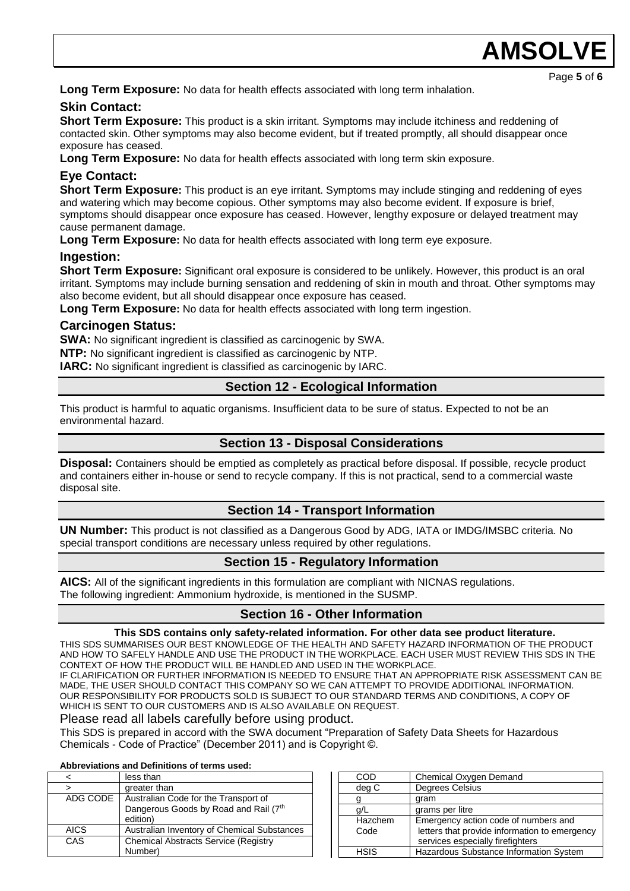**Long Term Exposure:** No data for health effects associated with long term inhalation.

### **Skin Contact:**

**Short Term Exposure:** This product is a skin irritant. Symptoms may include itchiness and reddening of contacted skin. Other symptoms may also become evident, but if treated promptly, all should disappear once exposure has ceased.

**Long Term Exposure:** No data for health effects associated with long term skin exposure.

# **Eye Contact:**

**Short Term Exposure:** This product is an eye irritant. Symptoms may include stinging and reddening of eyes and watering which may become copious. Other symptoms may also become evident. If exposure is brief, symptoms should disappear once exposure has ceased. However, lengthy exposure or delayed treatment may cause permanent damage.

**Long Term Exposure:** No data for health effects associated with long term eye exposure.

### **Ingestion:**

**Short Term Exposure:** Significant oral exposure is considered to be unlikely. However, this product is an oral irritant. Symptoms may include burning sensation and reddening of skin in mouth and throat. Other symptoms may also become evident, but all should disappear once exposure has ceased.

**Long Term Exposure:** No data for health effects associated with long term ingestion.

### **Carcinogen Status:**

**SWA:** No significant ingredient is classified as carcinogenic by SWA.

**NTP:** No significant ingredient is classified as carcinogenic by NTP.

**IARC:** No significant ingredient is classified as carcinogenic by IARC.

# **Section 12 - Ecological Information**

This product is harmful to aquatic organisms. Insufficient data to be sure of status. Expected to not be an environmental hazard.

# **Section 13 - Disposal Considerations**

**Disposal:** Containers should be emptied as completely as practical before disposal. If possible, recycle product and containers either in-house or send to recycle company. If this is not practical, send to a commercial waste disposal site.

#### **Section 14 - Transport Information**

**UN Number:** This product is not classified as a Dangerous Good by ADG, IATA or IMDG/IMSBC criteria. No special transport conditions are necessary unless required by other regulations.

# **Section 15 - Regulatory Information**

**AICS:** All of the significant ingredients in this formulation are compliant with NICNAS regulations. The following ingredient: Ammonium hydroxide, is mentioned in the SUSMP.

# **Section 16 - Other Information**

#### **This SDS contains only safety-related information. For other data see product literature.**

THIS SDS SUMMARISES OUR BEST KNOWLEDGE OF THE HEALTH AND SAFETY HAZARD INFORMATION OF THE PRODUCT AND HOW TO SAFELY HANDLE AND USE THE PRODUCT IN THE WORKPLACE. EACH USER MUST REVIEW THIS SDS IN THE CONTEXT OF HOW THE PRODUCT WILL BE HANDLED AND USED IN THE WORKPLACE.

IF CLARIFICATION OR FURTHER INFORMATION IS NEEDED TO ENSURE THAT AN APPROPRIATE RISK ASSESSMENT CAN BE MADE, THE USER SHOULD CONTACT THIS COMPANY SO WE CAN ATTEMPT TO PROVIDE ADDITIONAL INFORMATION. OUR RESPONSIBILITY FOR PRODUCTS SOLD IS SUBJECT TO OUR STANDARD TERMS AND CONDITIONS, A COPY OF WHICH IS SENT TO OUR CUSTOMERS AND IS ALSO AVAILABLE ON REQUEST.

#### Please read all labels carefully before using product.

This SDS is prepared in accord with the SWA document "Preparation of Safety Data Sheets for Hazardous Chemicals - Code of Practice" (December 2011) and is Copyright ©.

#### **Abbreviations and Definitions of terms used:**

|          | less than                                   |  |
|----------|---------------------------------------------|--|
| >        | greater than                                |  |
| ADG CODE | Australian Code for the Transport of        |  |
|          | Dangerous Goods by Road and Rail (7th       |  |
|          | edition)                                    |  |
| AICS     | Australian Inventory of Chemical Substances |  |
| CAS      | <b>Chemical Abstracts Service (Registry</b> |  |
|          | Number)                                     |  |

| COD             | Chemical Oxygen Demand                                                                                                    |
|-----------------|---------------------------------------------------------------------------------------------------------------------------|
| deg C           | Degrees Celsius                                                                                                           |
|                 | gram                                                                                                                      |
| a/L             | grams per litre                                                                                                           |
| Hazchem<br>Code | Emergency action code of numbers and<br>letters that provide information to emergency<br>services especially firefighters |
| HSIS            | Hazardous Substance Information System                                                                                    |